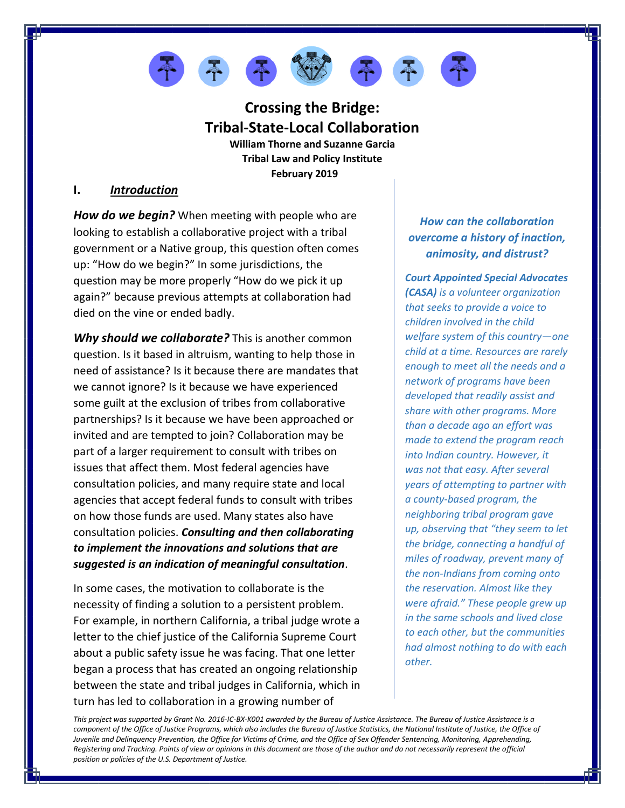

# **Crossing the Bridge: Tribal-State-Local Collaboration**

**William Thorne and Suzanne Garcia Tribal Law and Policy Institute February 2019**

## **I.** *Introduction*

*How do we begin?* When meeting with people who are looking to establish a collaborative project with a tribal government or a Native group, this question often comes up: "How do we begin?" In some jurisdictions, the question may be more properly "How do we pick it up again?" because previous attempts at collaboration had died on the vine or ended badly.

*Why should we collaborate?* This is another common question. Is it based in altruism, wanting to help those in need of assistance? Is it because there are mandates that we cannot ignore? Is it because we have experienced some guilt at the exclusion of tribes from collaborative partnerships? Is it because we have been approached or invited and are tempted to join? Collaboration may be part of a larger requirement to consult with tribes on issues that affect them. Most federal agencies have consultation policies, and many require state and local agencies that accept federal funds to consult with tribes on how those funds are used. Many states also have consultation policies. *Consulting and then collaborating to implement the innovations and solutions that are suggested is an indication of meaningful consultation*.

In some cases, the motivation to collaborate is the necessity of finding a solution to a persistent problem. For example, in northern California, a tribal judge wrote a letter to the chief justice of the California Supreme Court about a public safety issue he was facing. That one letter began a process that has created an ongoing relationship between the state and tribal judges in California, which in turn has led to collaboration in a growing number of

# *How can the collaboration overcome a history of inaction, animosity, and distrust?*

*Court Appointed Special Advocates (CASA) is a volunteer organization that seeks to provide a voice to children involved in the child welfare system of this country—one child at a time. Resources are rarely enough to meet all the needs and a network of programs have been developed that readily assist and share with other programs. More than a decade ago an effort was made to extend the program reach into Indian country. However, it was not that easy. After several years of attempting to partner with a county-based program, the neighboring tribal program gave up, observing that "they seem to let the bridge, connecting a handful of miles of roadway, prevent many of the non-Indians from coming onto the reservation. Almost like they were afraid." These people grew up in the same schools and lived close to each other, but the communities had almost nothing to do with each other.*

*This project was supported by Grant No. 2016-IC-BX-K001 awarded by the Bureau of Justice Assistance. The Bureau of Justice Assistance is a*  component of the Office of Justice Programs, which also includes the Bureau of Justice Statistics, the National Institute of Justice, the Office of *Juvenile and Delinquency Prevention, the Office for Victims of Crime, and the Office of Sex Offender Sentencing, Monitoring, Apprehending, Registering and Tracking. Points of view or opinions in this document are those of the author and do not necessarily represent the official position or policies of the U.S. Department of Justice.*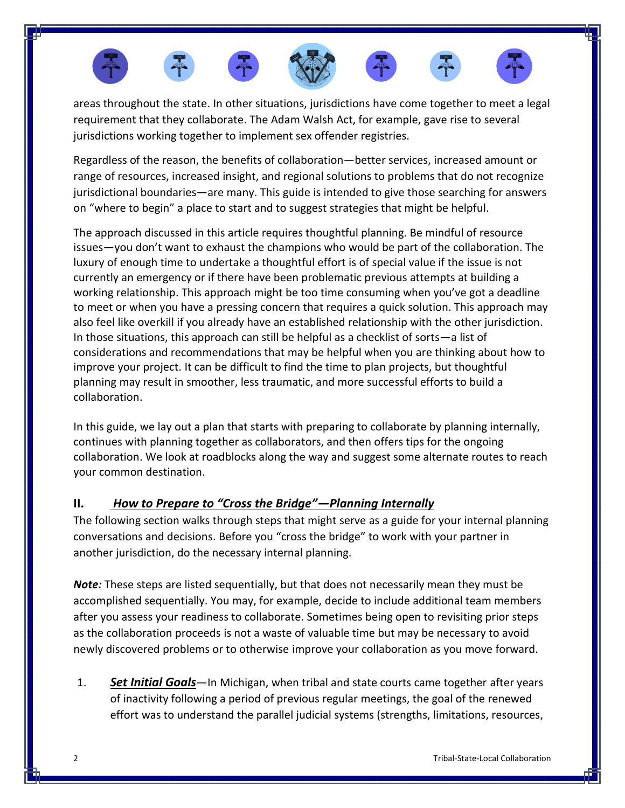

areas throughout the state. In other situations, jurisdictions have come together to meet a legal requirement that they collaborate. The Adam Walsh Act, for example, gave rise to several jurisdictions working together to implement sex offender registries.

Regardless of the reason, the benefits of collaboration—better services, increased amount or range of resources, increased insight, and regional solutions to problems that do not recognize jurisdictional boundaries—are many. This guide is intended to give those searching for answers on "where to begin" a place to start and to suggest strategies that might be helpful.

The approach discussed in this article requires thoughtful planning. Be mindful of resource issues—you don't want to exhaust the champions who would be part of the collaboration. The luxury of enough time to undertake a thoughtful effort is of special value if the issue is not currently an emergency or if there have been problematic previous attempts at building a working relationship. This approach might be too time consuming when you've got a deadline to meet or when you have a pressing concern that requires a quick solution. This approach may also feel like overkill if you already have an established relationship with the other jurisdiction. In those situations, this approach can still be helpful as a checklist of sorts—a list of considerations and recommendations that may be helpful when you are thinking about how to improve your project. It can be difficult to find the time to plan projects, but thoughtful planning may result in smoother, less traumatic, and more successful efforts to build a collaboration.

In this guide, we lay out a plan that starts with preparing to collaborate by planning internally, continues with planning together as collaborators, and then offers tips for the ongoing collaboration. We look at roadblocks along the way and suggest some alternate routes to reach your common destination.

# **II.** *How to Prepare to "Cross the Bridge"—Planning Internally*

The following section walks through steps that might serve as a guide for your internal planning conversations and decisions. Before you "cross the bridge" to work with your partner in another jurisdiction, do the necessary internal planning.

*Note:* These steps are listed sequentially, but that does not necessarily mean they must be accomplished sequentially. You may, for example, decide to include additional team members after you assess your readiness to collaborate. Sometimes being open to revisiting prior steps as the collaboration proceeds is not a waste of valuable time but may be necessary to avoid newly discovered problems or to otherwise improve your collaboration as you move forward.

1. *Set Initial Goals*—In Michigan, when tribal and state courts came together after years of inactivity following a period of previous regular meetings, the goal of the renewed effort was to understand the parallel judicial systems (strengths, limitations, resources,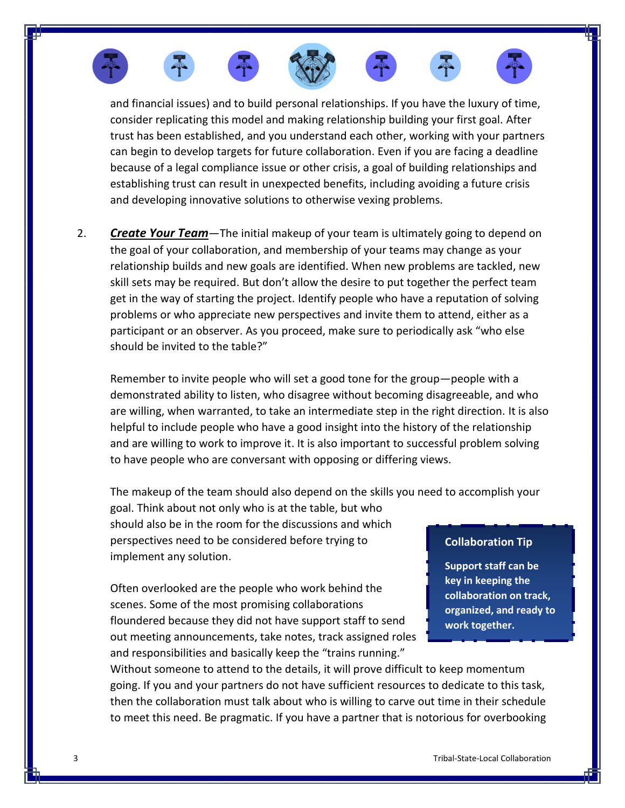











and financial issues) and to build personal relationships. If you have the luxury of time, consider replicating this model and making relationship building your first goal. After trust has been established, and you understand each other, working with your partners can begin to develop targets for future collaboration. Even if you are facing a deadline because of a legal compliance issue or other crisis, a goal of building relationships and establishing trust can result in unexpected benefits, including avoiding a future crisis and developing innovative solutions to otherwise vexing problems.

2. *Create Your Team*—The initial makeup of your team is ultimately going to depend on the goal of your collaboration, and membership of your teams may change as your relationship builds and new goals are identified. When new problems are tackled, new skill sets may be required. But don't allow the desire to put together the perfect team get in the way of starting the project. Identify people who have a reputation of solving problems or who appreciate new perspectives and invite them to attend, either as a participant or an observer. As you proceed, make sure to periodically ask "who else should be invited to the table?"

Remember to invite people who will set a good tone for the group—people with a demonstrated ability to listen, who disagree without becoming disagreeable, and who are willing, when warranted, to take an intermediate step in the right direction. It is also helpful to include people who have a good insight into the history of the relationship and are willing to work to improve it. It is also important to successful problem solving to have people who are conversant with opposing or differing views.

The makeup of the team should also depend on the skills you need to accomplish your

goal. Think about not only who is at the table, but who should also be in the room for the discussions and which perspectives need to be considered before trying to implement any solution.

Often overlooked are the people who work behind the scenes. Some of the most promising collaborations floundered because they did not have support staff to send out meeting announcements, take notes, track assigned roles and responsibilities and basically keep the "trains running."

### **Collaboration Tip**

**Support staff can be key in keeping the collaboration on track, organized, and ready to work together.**

Without someone to attend to the details, it will prove difficult to keep momentum going. If you and your partners do not have sufficient resources to dedicate to this task, then the collaboration must talk about who is willing to carve out time in their schedule to meet this need. Be pragmatic. If you have a partner that is notorious for overbooking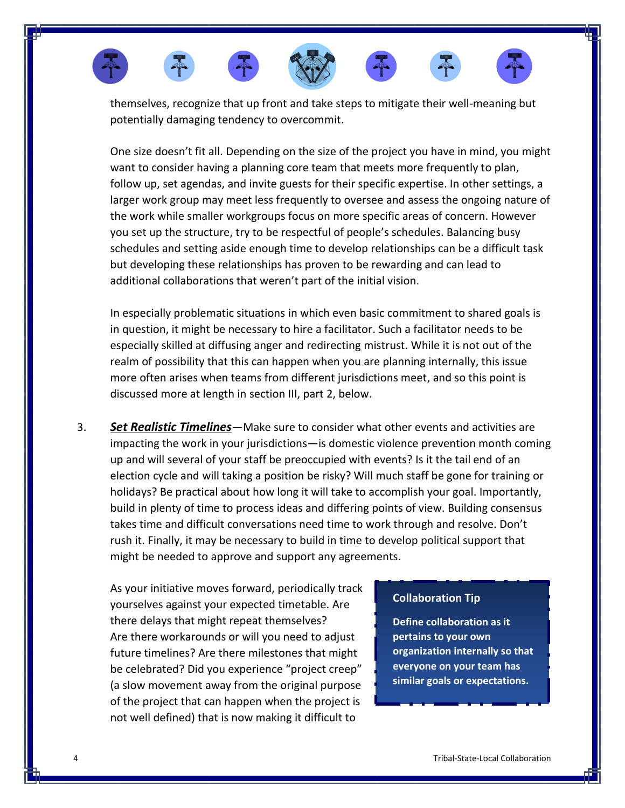

themselves, recognize that up front and take steps to mitigate their well-meaning but potentially damaging tendency to overcommit.

One size doesn't fit all. Depending on the size of the project you have in mind, you might want to consider having a planning core team that meets more frequently to plan, follow up, set agendas, and invite guests for their specific expertise. In other settings, a larger work group may meet less frequently to oversee and assess the ongoing nature of the work while smaller workgroups focus on more specific areas of concern. However you set up the structure, try to be respectful of people's schedules. Balancing busy schedules and setting aside enough time to develop relationships can be a difficult task but developing these relationships has proven to be rewarding and can lead to additional collaborations that weren't part of the initial vision.

In especially problematic situations in which even basic commitment to shared goals is in question, it might be necessary to hire a facilitator. Such a facilitator needs to be especially skilled at diffusing anger and redirecting mistrust. While it is not out of the realm of possibility that this can happen when you are planning internally, this issue more often arises when teams from different jurisdictions meet, and so this point is discussed more at length in section III, part 2, below.

3. *Set Realistic Timelines*—Make sure to consider what other events and activities are impacting the work in your jurisdictions—is domestic violence prevention month coming up and will several of your staff be preoccupied with events? Is it the tail end of an election cycle and will taking a position be risky? Will much staff be gone for training or holidays? Be practical about how long it will take to accomplish your goal. Importantly, build in plenty of time to process ideas and differing points of view. Building consensus takes time and difficult conversations need time to work through and resolve. Don't rush it. Finally, it may be necessary to build in time to develop political support that might be needed to approve and support any agreements.

As your initiative moves forward, periodically track yourselves against your expected timetable. Are there delays that might repeat themselves? Are there workarounds or will you need to adjust future timelines? Are there milestones that might be celebrated? Did you experience "project creep" (a slow movement away from the original purpose of the project that can happen when the project is not well defined) that is now making it difficult to

### **Collaboration Tip**

**Define collaboration as it pertains to your own organization internally so that everyone on your team has similar goals or expectations.**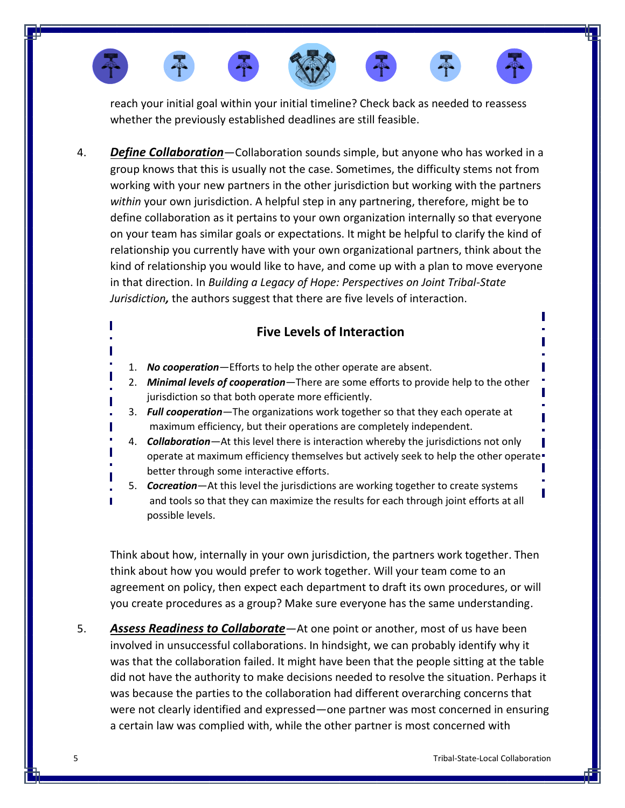

reach your initial goal within your initial timeline? Check back as needed to reassess whether the previously established deadlines are still feasible.

4. *Define Collaboration*—Collaboration sounds simple, but anyone who has worked in a group knows that this is usually not the case. Sometimes, the difficulty stems not from working with your new partners in the other jurisdiction but working with the partners *within* your own jurisdiction. A helpful step in any partnering, therefore, might be to define collaboration as it pertains to your own organization internally so that everyone on your team has similar goals or expectations. It might be helpful to clarify the kind of relationship you currently have with your own organizational partners, think about the kind of relationship you would like to have, and come up with a plan to move everyone in that direction. In *[Building a Legacy of Hope: Perspectives on Joint Tribal-State](https://open.mitchellhamline.edu/cgi/viewcontent.cgi?referer=https://scholar.google.com/&httpsredir=1&article=1338&context=wmlr)  [Jurisdiction](https://open.mitchellhamline.edu/cgi/viewcontent.cgi?referer=https://scholar.google.com/&httpsredir=1&article=1338&context=wmlr),* the authors suggest that there are five levels of interaction.

# **Five Levels of Interaction**

- 1. *No cooperation*—Efforts to help the other operate are absent.
- 2. *Minimal levels of cooperation*—There are some efforts to provide help to the other jurisdiction so that both operate more efficiently.
- 3. *Full cooperation*—The organizations work together so that they each operate at maximum efficiency, but their operations are completely independent.
- 4. *Collaboration*—At this level there is interaction whereby the jurisdictions not only operate at maximum efficiency themselves but actively seek to help the other operate better through some interactive efforts.
- 5. *Cocreation*—At this level the jurisdictions are working together to create systems and tools so that they can maximize the results for each through joint efforts at all possible levels.

Think about how, internally in your own jurisdiction, the partners work together. Then think about how you would prefer to work together. Will your team come to an agreement on policy, then expect each department to draft its own procedures, or will you create procedures as a group? Make sure everyone has the same understanding.

5. *Assess Readiness to Collaborate*—At one point or another, most of us have been involved in unsuccessful collaborations. In hindsight, we can probably identify why it was that the collaboration failed. It might have been that the people sitting at the table did not have the authority to make decisions needed to resolve the situation. Perhaps it was because the parties to the collaboration had different overarching concerns that were not clearly identified and expressed—one partner was most concerned in ensuring a certain law was complied with, while the other partner is most concerned with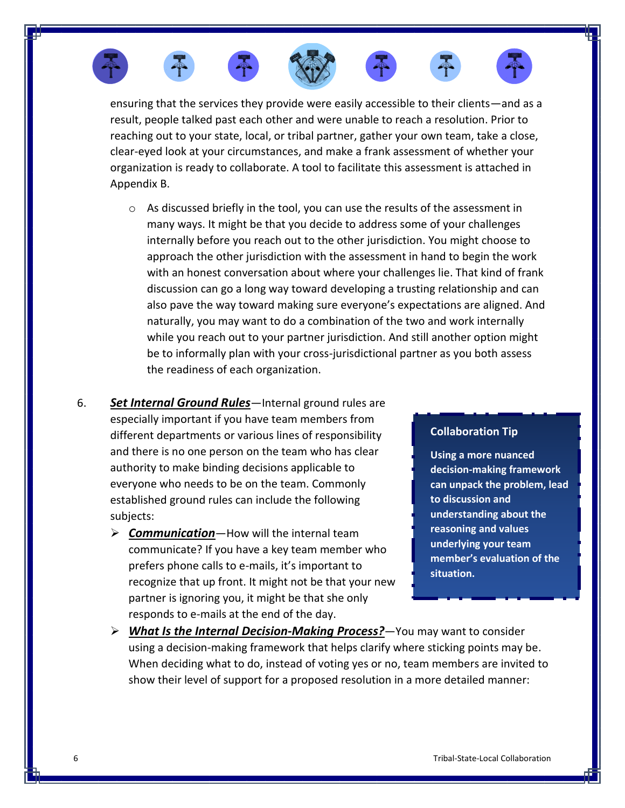













ensuring that the services they provide were easily accessible to their clients—and as a result, people talked past each other and were unable to reach a resolution. Prior to reaching out to your state, local, or tribal partner, gather your own team, take a close, clear-eyed look at your circumstances, and make a frank assessment of whether your organization is ready to collaborate. A tool to facilitate this assessment is attached in Appendix B.

- $\circ$  As discussed briefly in the tool, you can use the results of the assessment in many ways. It might be that you decide to address some of your challenges internally before you reach out to the other jurisdiction. You might choose to approach the other jurisdiction with the assessment in hand to begin the work with an honest conversation about where your challenges lie. That kind of frank discussion can go a long way toward developing a trusting relationship and can also pave the way toward making sure everyone's expectations are aligned. And naturally, you may want to do a combination of the two and work internally while you reach out to your partner jurisdiction. And still another option might be to informally plan with your cross-jurisdictional partner as you both assess the readiness of each organization.
- 6. *Set Internal Ground Rules*—Internal ground rules are especially important if you have team members from different departments or various lines of responsibility and there is no one person on the team who has clear authority to make binding decisions applicable to everyone who needs to be on the team. Commonly established ground rules can include the following subjects:
	- ➢ *Communication*—How will the internal team communicate? If you have a key team member who prefers phone calls to e-mails, it's important to recognize that up front. It might not be that your new partner is ignoring you, it might be that she only responds to e-mails at the end of the day.

### **Collaboration Tip**

**Using a more nuanced decision-making framework can unpack the problem, lead to discussion and understanding about the reasoning and values underlying your team member's evaluation of the situation.**

➢ *What Is the Internal Decision-Making Process?*—You may want to consider using a decision-making framework that helps clarify where sticking points may be. When deciding what to do, instead of voting yes or no, team members are invited to show their level of support for a proposed resolution in a more detailed manner: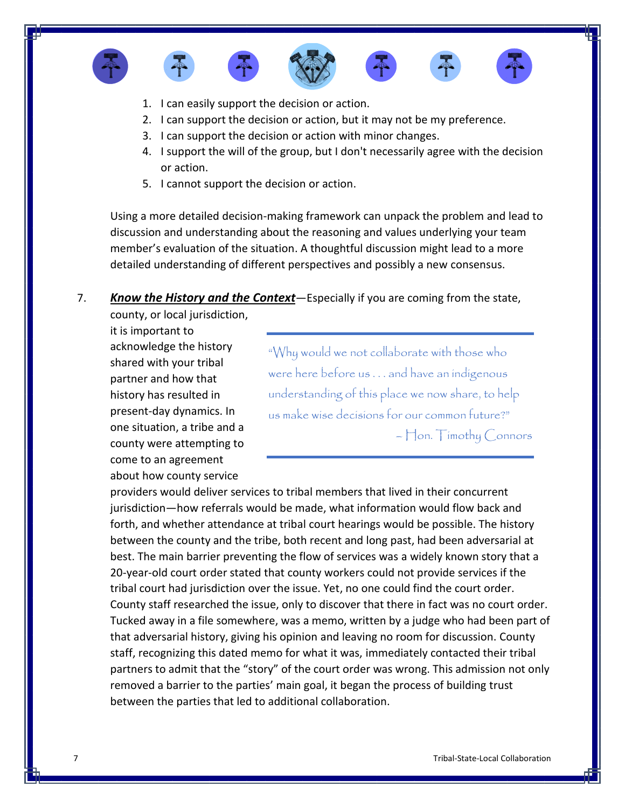









- 1. I can easily support the decision or action.
- 2. I can support the decision or action, but it may not be my preference.
- 3. I can support the decision or action with minor changes.
- 4. I support the will of the group, but I don't necessarily agree with the decision or action.
- 5. I cannot support the decision or action.

Using a more detailed decision-making framework can unpack the problem and lead to discussion and understanding about the reasoning and values underlying your team member's evaluation of the situation. A thoughtful discussion might lead to a more detailed understanding of different perspectives and possibly a new consensus.

### 7. *Know the History and the Context*—Especially if you are coming from the state,

county, or local jurisdiction, it is important to acknowledge the history shared with your tribal partner and how that history has resulted in present-day dynamics. In one situation, a tribe and a county were attempting to come to an agreement about how county service

"Why would we not collaborate with those who were here before us . . . and have an indigenous understanding of this place we now share, to help us make wise decisions for our common future?" – Hon. Timothy Connors

providers would deliver services to tribal members that lived in their concurrent jurisdiction—how referrals would be made, what information would flow back and forth, and whether attendance at tribal court hearings would be possible. The history between the county and the tribe, both recent and long past, had been adversarial at best. The main barrier preventing the flow of services was a widely known story that a 20-year-old court order stated that county workers could not provide services if the tribal court had jurisdiction over the issue. Yet, no one could find the court order. County staff researched the issue, only to discover that there in fact was no court order. Tucked away in a file somewhere, was a memo, written by a judge who had been part of that adversarial history, giving his opinion and leaving no room for discussion. County staff, recognizing this dated memo for what it was, immediately contacted their tribal partners to admit that the "story" of the court order was wrong. This admission not only removed a barrier to the parties' main goal, it began the process of building trust between the parties that led to additional collaboration.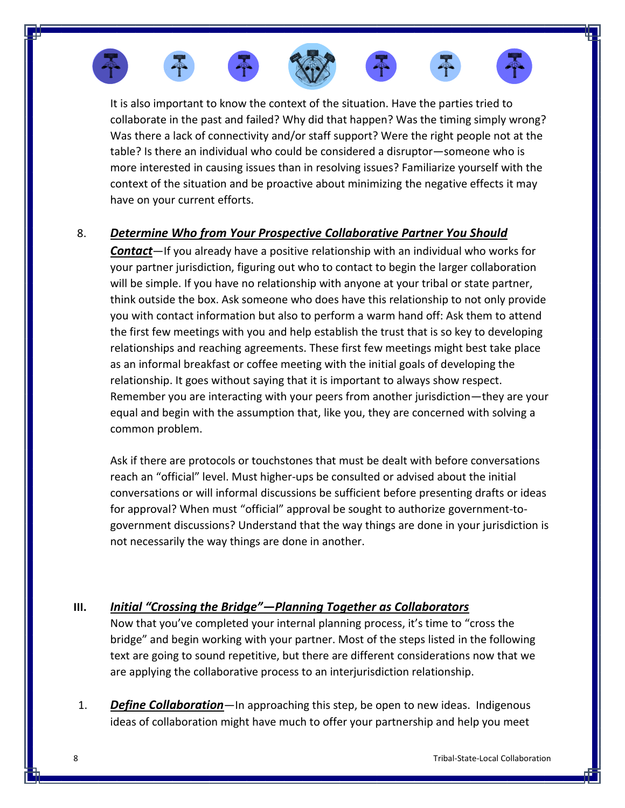









It is also important to know the context of the situation. Have the parties tried to collaborate in the past and failed? Why did that happen? Was the timing simply wrong? Was there a lack of connectivity and/or staff support? Were the right people not at the table? Is there an individual who could be considered a disruptor—someone who is more interested in causing issues than in resolving issues? Familiarize yourself with the context of the situation and be proactive about minimizing the negative effects it may have on your current efforts.

# 8. *Determine Who from Your Prospective Collaborative Partner You Should*

*Contact*—If you already have a positive relationship with an individual who works for your partner jurisdiction, figuring out who to contact to begin the larger collaboration will be simple. If you have no relationship with anyone at your tribal or state partner, think outside the box. Ask someone who does have this relationship to not only provide you with contact information but also to perform a warm hand off: Ask them to attend the first few meetings with you and help establish the trust that is so key to developing relationships and reaching agreements. These first few meetings might best take place as an informal breakfast or coffee meeting with the initial goals of developing the relationship. It goes without saying that it is important to always show respect. Remember you are interacting with your peers from another jurisdiction—they are your equal and begin with the assumption that, like you, they are concerned with solving a common problem.

Ask if there are protocols or touchstones that must be dealt with before conversations reach an "official" level. Must higher-ups be consulted or advised about the initial conversations or will informal discussions be sufficient before presenting drafts or ideas for approval? When must "official" approval be sought to authorize government-togovernment discussions? Understand that the way things are done in your jurisdiction is not necessarily the way things are done in another.

# **III.** *Initial "Crossing the Bridge"—Planning Together as Collaborators*

Now that you've completed your internal planning process, it's time to "cross the bridge" and begin working with your partner. Most of the steps listed in the following text are going to sound repetitive, but there are different considerations now that we are applying the collaborative process to an interjurisdiction relationship.

1. *Define Collaboration*—In approaching this step, be open to new ideas. Indigenous ideas of collaboration might have much to offer your partnership and help you meet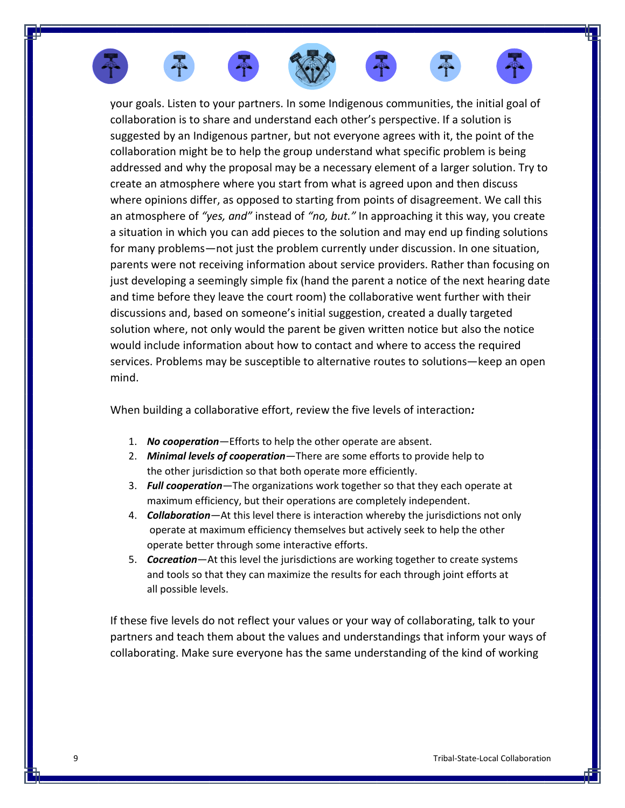

When building a collaborative effort, review the five levels of interaction*:*

- 1. *No cooperation*—Efforts to help the other operate are absent.
- 2. *Minimal levels of cooperation*—There are some efforts to provide help to the other jurisdiction so that both operate more efficiently.
- 3. *Full cooperation*—The organizations work together so that they each operate at maximum efficiency, but their operations are completely independent.
- 4. *Collaboration*—At this level there is interaction whereby the jurisdictions not only operate at maximum efficiency themselves but actively seek to help the other operate better through some interactive efforts.
- 5. *Cocreation*—At this level the jurisdictions are working together to create systems and tools so that they can maximize the results for each through joint efforts at all possible levels.

If these five levels do not reflect your values or your way of collaborating, talk to your partners and teach them about the values and understandings that inform your ways of collaborating. Make sure everyone has the same understanding of the kind of working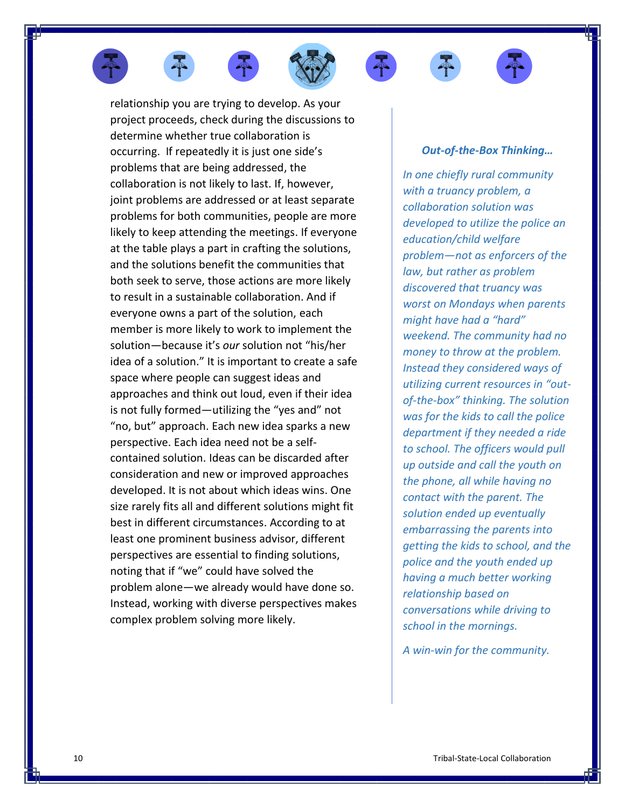









relationship you are trying to develop. As your project proceeds, check during the discussions to determine whether true collaboration is occurring. If repeatedly it is just one side's problems that are being addressed, the collaboration is not likely to last. If, however, joint problems are addressed or at least separate problems for both communities, people are more likely to keep attending the meetings. If everyone at the table plays a part in crafting the solutions, and the solutions benefit the communities that both seek to serve, those actions are more likely to result in a sustainable collaboration. And if everyone owns a part of the solution, each member is more likely to work to implement the solution—because it's *our* solution not "his/her idea of a solution." It is important to create a safe space where people can suggest ideas and approaches and think out loud, even if their idea is not fully formed—utilizing the "yes and" not "no, but" approach. Each new idea sparks a new perspective. Each idea need not be a selfcontained solution. Ideas can be discarded after consideration and new or improved approaches developed. It is not about which ideas wins. One size rarely fits all and different solutions might fit best in different circumstances. According to at least one prominent business advisor, different perspectives are essential to finding solutions, noting that if "we" could have solved the problem alone—we already would have done so. Instead, working with diverse perspectives makes complex problem solving more likely.

## *Out-of-the-Box Thinking…*

*In one chiefly rural community with a truancy problem, a collaboration solution was developed to utilize the police an education/child welfare problem—not as enforcers of the law, but rather as problem discovered that truancy was worst on Mondays when parents might have had a "hard" weekend. The community had no money to throw at the problem. Instead they considered ways of utilizing current resources in "outof-the-box" thinking. The solution was for the kids to call the police department if they needed a ride to school. The officers would pull up outside and call the youth on the phone, all while having no contact with the parent. The solution ended up eventually embarrassing the parents into getting the kids to school, and the police and the youth ended up having a much better working relationship based on conversations while driving to school in the mornings.* 

*A win-win for the community.*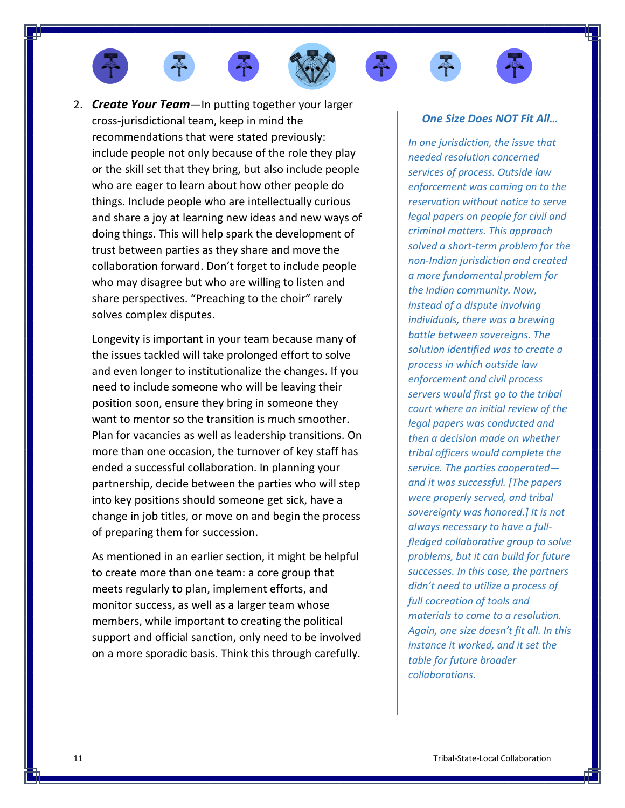









2. *Create Your Team*—In putting together your larger cross-jurisdictional team, keep in mind the recommendations that were stated previously: include people not only because of the role they play or the skill set that they bring, but also include people who are eager to learn about how other people do things. Include people who are intellectually curious and share a joy at learning new ideas and new ways of doing things. This will help spark the development of trust between parties as they share and move the collaboration forward. Don't forget to include people who may disagree but who are willing to listen and share perspectives. "Preaching to the choir" rarely solves complex disputes.

Longevity is important in your team because many of the issues tackled will take prolonged effort to solve and even longer to institutionalize the changes. If you need to include someone who will be leaving their position soon, ensure they bring in someone they want to mentor so the transition is much smoother. Plan for vacancies as well as leadership transitions. On more than one occasion, the turnover of key staff has ended a successful collaboration. In planning your partnership, decide between the parties who will step into key positions should someone get sick, have a change in job titles, or move on and begin the process of preparing them for succession.

As mentioned in an earlier section, it might be helpful to create more than one team: a core group that meets regularly to plan, implement efforts, and monitor success, as well as a larger team whose members, while important to creating the political support and official sanction, only need to be involved on a more sporadic basis. Think this through carefully.

#### *One Size Does NOT Fit All…*

*In one jurisdiction, the issue that needed resolution concerned services of process. Outside law enforcement was coming on to the reservation without notice to serve legal papers on people for civil and criminal matters. This approach solved a short-term problem for the non-Indian jurisdiction and created a more fundamental problem for the Indian community. Now, instead of a dispute involving individuals, there was a brewing battle between sovereigns. The solution identified was to create a process in which outside law enforcement and civil process servers would first go to the tribal court where an initial review of the legal papers was conducted and then a decision made on whether tribal officers would complete the service. The parties cooperated and it was successful. [The papers were properly served, and tribal sovereignty was honored.] It is not always necessary to have a fullfledged collaborative group to solve problems, but it can build for future successes. In this case, the partners didn't need to utilize a process of full cocreation of tools and materials to come to a resolution. Again, one size doesn't fit all. In this instance it worked, and it set the table for future broader collaborations.*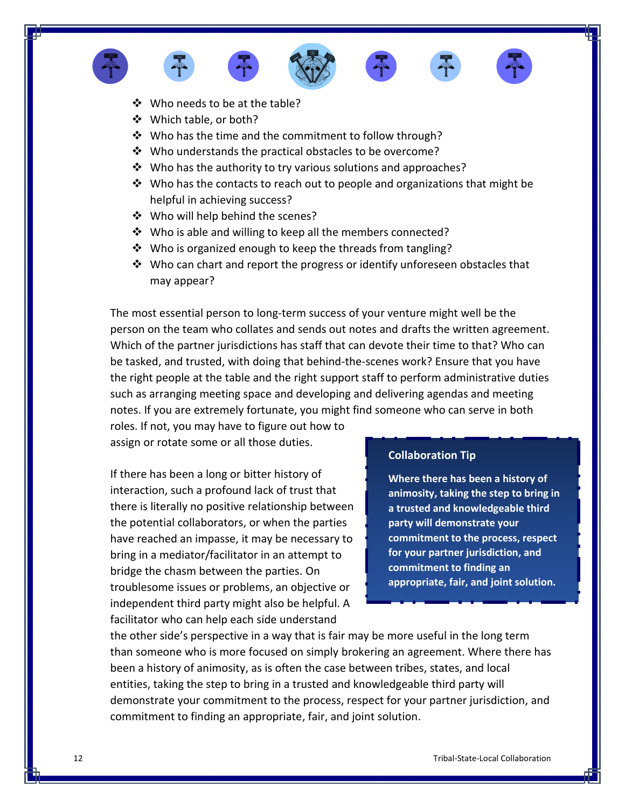









- ❖ Who needs to be at the table?
- ❖ Which table, or both?
- ❖ Who has the time and the commitment to follow through?
- ❖ Who understands the practical obstacles to be overcome?
- ❖ Who has the authority to try various solutions and approaches?
- ❖ Who has the contacts to reach out to people and organizations that might be helpful in achieving success?
- ❖ Who will help behind the scenes?
- ❖ Who is able and willing to keep all the members connected?
- ❖ Who is organized enough to keep the threads from tangling?
- $\dots$  Who can chart and report the progress or identify unforeseen obstacles that may appear?

The most essential person to long-term success of your venture might well be the person on the team who collates and sends out notes and drafts the written agreement. Which of the partner jurisdictions has staff that can devote their time to that? Who can be tasked, and trusted, with doing that behind-the-scenes work? Ensure that you have the right people at the table and the right support staff to perform administrative duties such as arranging meeting space and developing and delivering agendas and meeting notes. If you are extremely fortunate, you might find someone who can serve in both

roles. If not, you may have to figure out how to assign or rotate some or all those duties.

If there has been a long or bitter history of interaction, such a profound lack of trust that there is literally no positive relationship between the potential collaborators, or when the parties have reached an impasse, it may be necessary to bring in a mediator/facilitator in an attempt to bridge the chasm between the parties. On troublesome issues or problems, an objective or independent third party might also be helpful. A facilitator who can help each side understand

#### **Collaboration Tip**

**Where there has been a history of animosity, taking the step to bring in a trusted and knowledgeable third party will demonstrate your commitment to the process, respect for your partner jurisdiction, and commitment to finding an appropriate, fair, and joint solution.**

the other side's perspective in a way that is fair may be more useful in the long term than someone who is more focused on simply brokering an agreement. Where there has been a history of animosity, as is often the case between tribes, states, and local entities, taking the step to bring in a trusted and knowledgeable third party will demonstrate your commitment to the process, respect for your partner jurisdiction, and commitment to finding an appropriate, fair, and joint solution.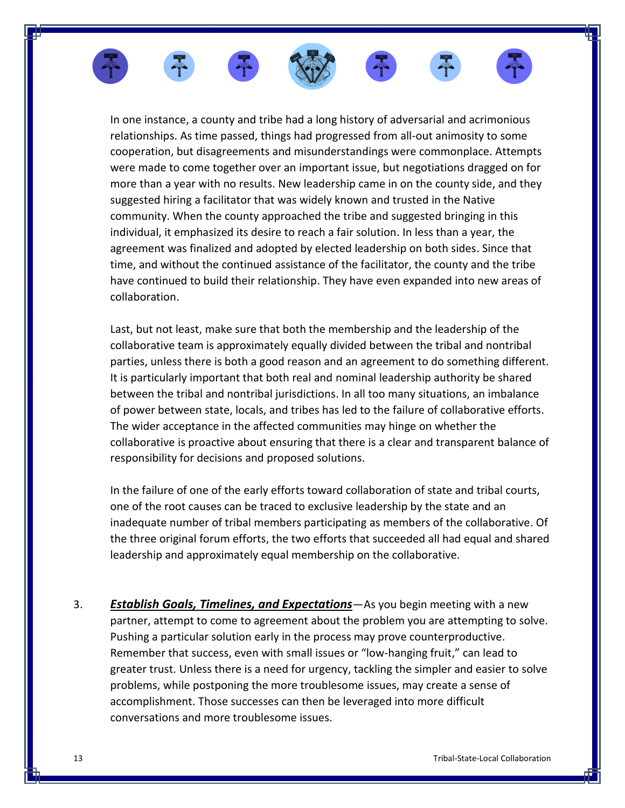

In one instance, a county and tribe had a long history of adversarial and acrimonious relationships. As time passed, things had progressed from all-out animosity to some cooperation, but disagreements and misunderstandings were commonplace. Attempts were made to come together over an important issue, but negotiations dragged on for more than a year with no results. New leadership came in on the county side, and they suggested hiring a facilitator that was widely known and trusted in the Native community. When the county approached the tribe and suggested bringing in this individual, it emphasized its desire to reach a fair solution. In less than a year, the agreement was finalized and adopted by elected leadership on both sides. Since that time, and without the continued assistance of the facilitator, the county and the tribe have continued to build their relationship. They have even expanded into new areas of collaboration.

Last, but not least, make sure that both the membership and the leadership of the collaborative team is approximately equally divided between the tribal and nontribal parties, unless there is both a good reason and an agreement to do something different. It is particularly important that both real and nominal leadership authority be shared between the tribal and nontribal jurisdictions. In all too many situations, an imbalance of power between state, locals, and tribes has led to the failure of collaborative efforts. The wider acceptance in the affected communities may hinge on whether the collaborative is proactive about ensuring that there is a clear and transparent balance of responsibility for decisions and proposed solutions.

In the failure of one of the early efforts toward collaboration of state and tribal courts, one of the root causes can be traced to exclusive leadership by the state and an inadequate number of tribal members participating as members of the collaborative. Of the three original forum efforts, the two efforts that succeeded all had equal and shared leadership and approximately equal membership on the collaborative.

3. *Establish Goals, Timelines, and Expectations*—As you begin meeting with a new partner, attempt to come to agreement about the problem you are attempting to solve. Pushing a particular solution early in the process may prove counterproductive. Remember that success, even with small issues or "low-hanging fruit," can lead to greater trust. Unless there is a need for urgency, tackling the simpler and easier to solve problems, while postponing the more troublesome issues, may create a sense of accomplishment. Those successes can then be leveraged into more difficult conversations and more troublesome issues.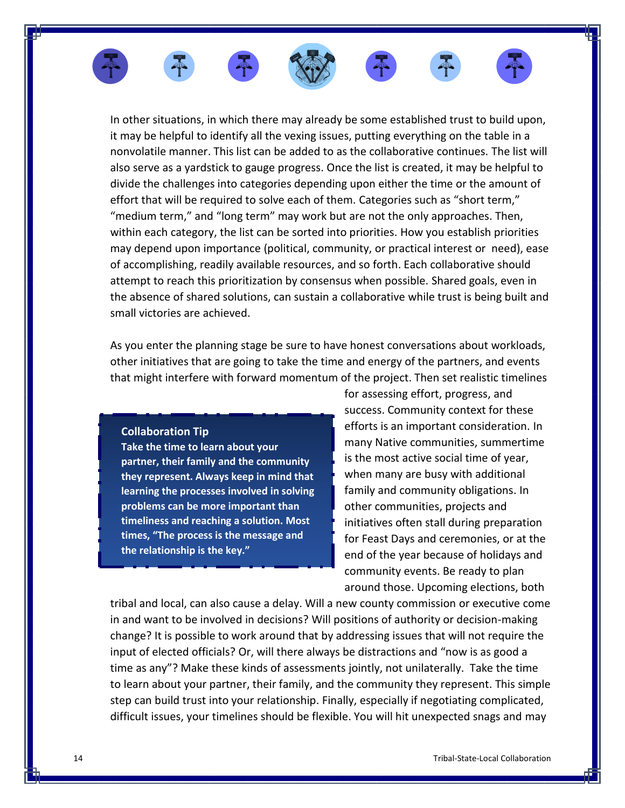

In other situations, in which there may already be some established trust to build upon, it may be helpful to identify all the vexing issues, putting everything on the table in a nonvolatile manner. This list can be added to as the collaborative continues. The list will also serve as a yardstick to gauge progress. Once the list is created, it may be helpful to divide the challenges into categories depending upon either the time or the amount of effort that will be required to solve each of them. Categories such as "short term," "medium term," and "long term" may work but are not the only approaches. Then, within each category, the list can be sorted into priorities. How you establish priorities may depend upon importance (political, community, or practical interest or need), ease of accomplishing, readily available resources, and so forth. Each collaborative should attempt to reach this prioritization by consensus when possible. Shared goals, even in the absence of shared solutions, can sustain a collaborative while trust is being built and small victories are achieved.

As you enter the planning stage be sure to have honest conversations about workloads, other initiatives that are going to take the time and energy of the partners, and events that might interfere with forward momentum of the project. Then set realistic timelines

#### **Collaboration Tip**

**Take the time to learn about your partner, their family and the community they represent. Always keep in mind that learning the processes involved in solving problems can be more important than timeliness and reaching a solution. Most times, "The process is the message and the relationship is the key."**

for assessing effort, progress, and success. Community context for these efforts is an important consideration. In many Native communities, summertime is the most active social time of year, when many are busy with additional family and community obligations. In other communities, projects and initiatives often stall during preparation for Feast Days and ceremonies, or at the end of the year because of holidays and community events. Be ready to plan around those. Upcoming elections, both

tribal and local, can also cause a delay. Will a new county commission or executive come in and want to be involved in decisions? Will positions of authority or decision-making change? It is possible to work around that by addressing issues that will not require the input of elected officials? Or, will there always be distractions and "now is as good a time as any"? Make these kinds of assessments jointly, not unilaterally. Take the time to learn about your partner, their family, and the community they represent. This simple step can build trust into your relationship. Finally, especially if negotiating complicated, difficult issues, your timelines should be flexible. You will hit unexpected snags and may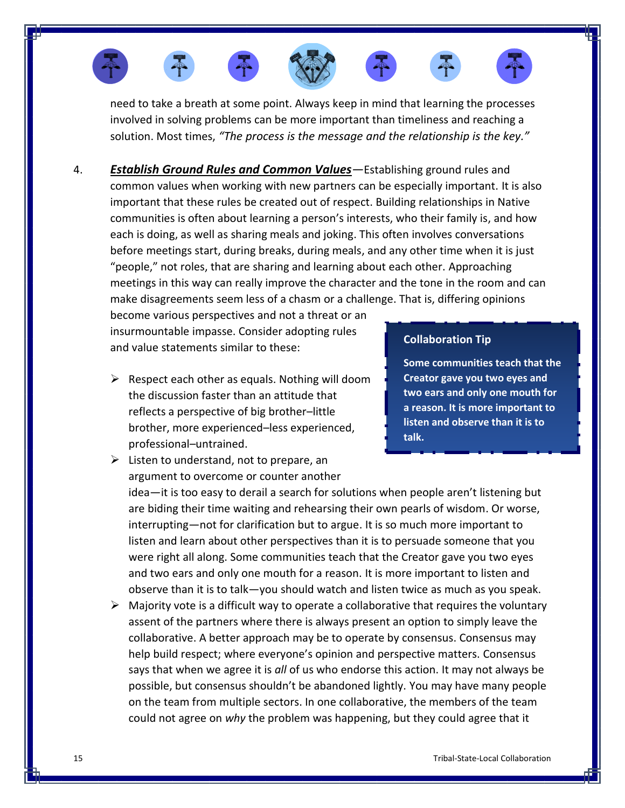

need to take a breath at some point. Always keep in mind that learning the processes involved in solving problems can be more important than timeliness and reaching a solution. Most times, *"The process is the message and the relationship is the key."*

4. *Establish Ground Rules and Common Values—*Establishing ground rules and common values when working with new partners can be especially important. It is also important that these rules be created out of respect. Building relationships in Native communities is often about learning a person's interests, who their family is, and how each is doing, as well as sharing meals and joking. This often involves conversations before meetings start, during breaks, during meals, and any other time when it is just "people," not roles, that are sharing and learning about each other. Approaching meetings in this way can really improve the character and the tone in the room and can make disagreements seem less of a chasm or a challenge. That is, differing opinions

become various perspectives and not a threat or an insurmountable impasse. Consider adopting rules and value statements similar to these:

 $\triangleright$  Respect each other as equals. Nothing will doom the discussion faster than an attitude that reflects a perspective of big brother–little brother, more experienced–less experienced, professional–untrained.

### **Collaboration Tip**

**Some communities teach that the Creator gave you two eyes and two ears and only one mouth for a reason. It is more important to listen and observe than it is to talk.**

 $\triangleright$  Listen to understand, not to prepare, an argument to overcome or counter another

idea—it is too easy to derail a search for solutions when people aren't listening but are biding their time waiting and rehearsing their own pearls of wisdom. Or worse, interrupting—not for clarification but to argue. It is so much more important to listen and learn about other perspectives than it is to persuade someone that you were right all along. Some communities teach that the Creator gave you two eyes and two ears and only one mouth for a reason. It is more important to listen and observe than it is to talk—you should watch and listen twice as much as you speak.

 $\triangleright$  Majority vote is a difficult way to operate a collaborative that requires the voluntary assent of the partners where there is always present an option to simply leave the collaborative. A better approach may be to operate by consensus. Consensus may help build respect; where everyone's opinion and perspective matters. Consensus says that when we agree it is *all* of us who endorse this action. It may not always be possible, but consensus shouldn't be abandoned lightly. You may have many people on the team from multiple sectors. In one collaborative, the members of the team could not agree on *why* the problem was happening, but they could agree that it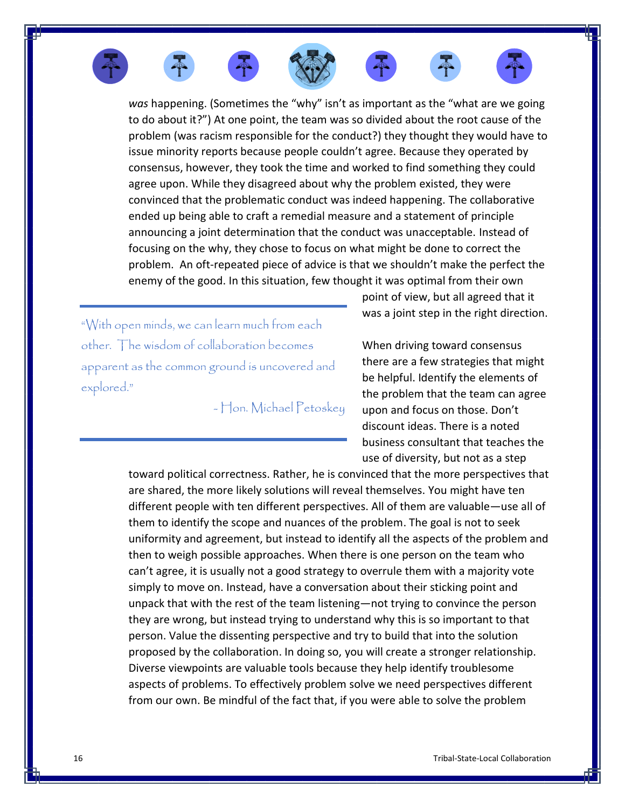*was* happening. (Sometimes the "why" isn't as important as the "what are we going to do about it?") At one point, the team was so divided about the root cause of the problem (was racism responsible for the conduct?) they thought they would have to issue minority reports because people couldn't agree. Because they operated by consensus, however, they took the time and worked to find something they could agree upon. While they disagreed about why the problem existed, they were convinced that the problematic conduct was indeed happening. The collaborative ended up being able to craft a remedial measure and a statement of principle announcing a joint determination that the conduct was unacceptable. Instead of focusing on the why, they chose to focus on what might be done to correct the problem. An oft-repeated piece of advice is that we shouldn't make the perfect the enemy of the good. In this situation, few thought it was optimal from their own

"With open minds, we can learn much from each other. The wisdom of collaboration becomes apparent as the common ground is uncovered and explored."

- Hon. Michael Petoskey

point of view, but all agreed that it was a joint step in the right direction.

When driving toward consensus there are a few strategies that might be helpful. Identify the elements of the problem that the team can agree upon and focus on those. Don't discount ideas. There is a noted business consultant that teaches the use of diversity, but not as a step

toward political correctness. Rather, he is convinced that the more perspectives that are shared, the more likely solutions will reveal themselves. You might have ten different people with ten different perspectives. All of them are valuable—use all of them to identify the scope and nuances of the problem. The goal is not to seek uniformity and agreement, but instead to identify all the aspects of the problem and then to weigh possible approaches. When there is one person on the team who can't agree, it is usually not a good strategy to overrule them with a majority vote simply to move on. Instead, have a conversation about their sticking point and unpack that with the rest of the team listening—not trying to convince the person they are wrong, but instead trying to understand why this is so important to that person. Value the dissenting perspective and try to build that into the solution proposed by the collaboration. In doing so, you will create a stronger relationship. Diverse viewpoints are valuable tools because they help identify troublesome aspects of problems. To effectively problem solve we need perspectives different from our own. Be mindful of the fact that, if you were able to solve the problem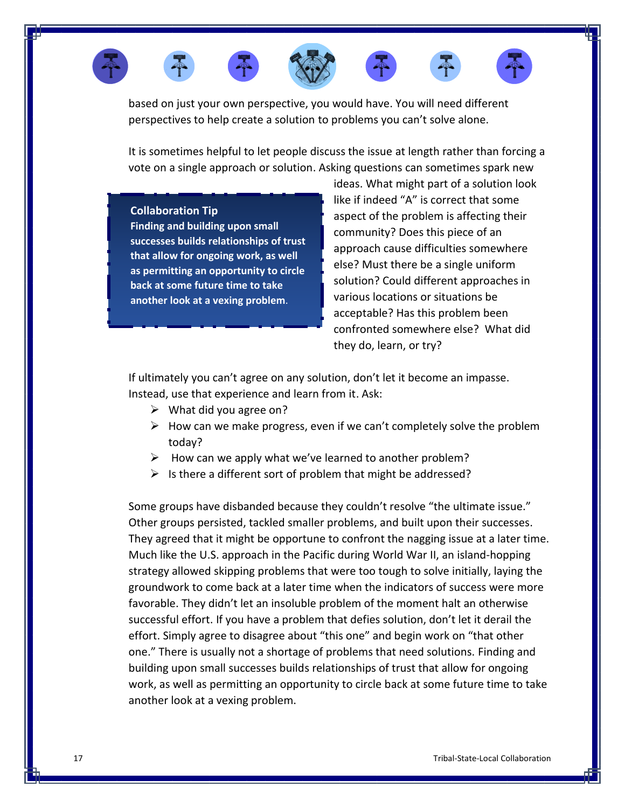

based on just your own perspective, you would have. You will need different perspectives to help create a solution to problems you can't solve alone.

It is sometimes helpful to let people discuss the issue at length rather than forcing a vote on a single approach or solution. Asking questions can sometimes spark new

#### **Collaboration Tip**

**Finding and building upon small successes builds relationships of trust that allow for ongoing work, as well as permitting an opportunity to circle back at some future time to take another look at a vexing problem**.

ideas. What might part of a solution look like if indeed "A" is correct that some aspect of the problem is affecting their community? Does this piece of an approach cause difficulties somewhere else? Must there be a single uniform solution? Could different approaches in various locations or situations be acceptable? Has this problem been confronted somewhere else? What did they do, learn, or try?

If ultimately you can't agree on any solution, don't let it become an impasse. Instead, use that experience and learn from it. Ask:

- $\triangleright$  What did you agree on?
- $\triangleright$  How can we make progress, even if we can't completely solve the problem today?
- $\triangleright$  How can we apply what we've learned to another problem?
- $\triangleright$  Is there a different sort of problem that might be addressed?

Some groups have disbanded because they couldn't resolve "the ultimate issue." Other groups persisted, tackled smaller problems, and built upon their successes. They agreed that it might be opportune to confront the nagging issue at a later time. Much like the U.S. approach in the Pacific during World War II, an island-hopping strategy allowed skipping problems that were too tough to solve initially, laying the groundwork to come back at a later time when the indicators of success were more favorable. They didn't let an insoluble problem of the moment halt an otherwise successful effort. If you have a problem that defies solution, don't let it derail the effort. Simply agree to disagree about "this one" and begin work on "that other one." There is usually not a shortage of problems that need solutions. Finding and building upon small successes builds relationships of trust that allow for ongoing work, as well as permitting an opportunity to circle back at some future time to take another look at a vexing problem.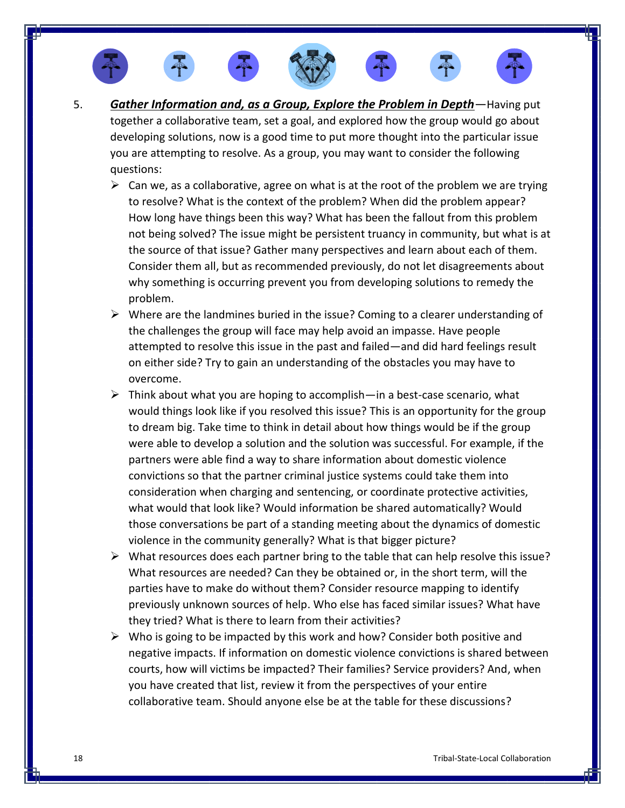





- $\triangleright$  Can we, as a collaborative, agree on what is at the root of the problem we are trying to resolve? What is the context of the problem? When did the problem appear? How long have things been this way? What has been the fallout from this problem not being solved? The issue might be persistent truancy in community, but what is at the source of that issue? Gather many perspectives and learn about each of them. Consider them all, but as recommended previously, do not let disagreements about why something is occurring prevent you from developing solutions to remedy the problem.
- ➢ Where are the landmines buried in the issue? Coming to a clearer understanding of the challenges the group will face may help avoid an impasse. Have people attempted to resolve this issue in the past and failed—and did hard feelings result on either side? Try to gain an understanding of the obstacles you may have to overcome.
- $\triangleright$  Think about what you are hoping to accomplish—in a best-case scenario, what would things look like if you resolved this issue? This is an opportunity for the group to dream big. Take time to think in detail about how things would be if the group were able to develop a solution and the solution was successful. For example, if the partners were able find a way to share information about domestic violence convictions so that the partner criminal justice systems could take them into consideration when charging and sentencing, or coordinate protective activities, what would that look like? Would information be shared automatically? Would those conversations be part of a standing meeting about the dynamics of domestic violence in the community generally? What is that bigger picture?
- $\triangleright$  What resources does each partner bring to the table that can help resolve this issue? What resources are needed? Can they be obtained or, in the short term, will the parties have to make do without them? Consider resource mapping to identify previously unknown sources of help. Who else has faced similar issues? What have they tried? What is there to learn from their activities?
- $\triangleright$  Who is going to be impacted by this work and how? Consider both positive and negative impacts. If information on domestic violence convictions is shared between courts, how will victims be impacted? Their families? Service providers? And, when you have created that list, review it from the perspectives of your entire collaborative team. Should anyone else be at the table for these discussions?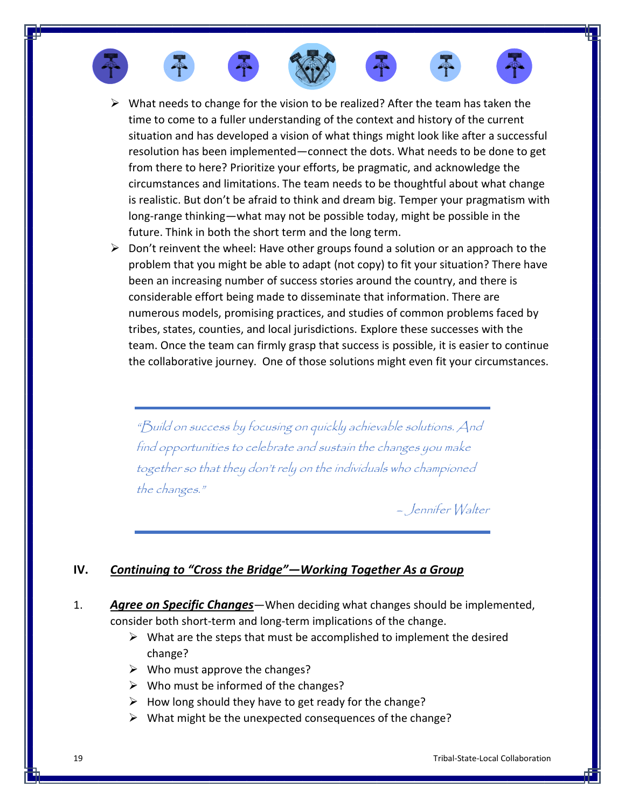

- $\triangleright$  What needs to change for the vision to be realized? After the team has taken the time to come to a fuller understanding of the context and history of the current situation and has developed a vision of what things might look like after a successful resolution has been implemented—connect the dots. What needs to be done to get from there to here? Prioritize your efforts, be pragmatic, and acknowledge the circumstances and limitations. The team needs to be thoughtful about what change is realistic. But don't be afraid to think and dream big. Temper your pragmatism with long-range thinking—what may not be possible today, might be possible in the future. Think in both the short term and the long term.
- $\triangleright$  Don't reinvent the wheel: Have other groups found a solution or an approach to the problem that you might be able to adapt (not copy) to fit your situation? There have been an increasing number of success stories around the country, and there is considerable effort being made to disseminate that information. There are numerous models, promising practices, and studies of common problems faced by tribes, states, counties, and local jurisdictions. Explore these successes with the team. Once the team can firmly grasp that success is possible, it is easier to continue the collaborative journey. One of those solutions might even fit your circumstances.

"Build on success by focusing on quickly achievable solutions. And find opportunities to celebrate and sustain the changes you make together so that they don't rely on the individuals who championed the changes."

– Jennifer Walter

# **IV.** *Continuing to "Cross the Bridge"—Working Together As a Group*

- 1. *Agree on Specific Changes*—When deciding what changes should be implemented, consider both short-term and long-term implications of the change.
	- $\triangleright$  What are the steps that must be accomplished to implement the desired change?
	- $\triangleright$  Who must approve the changes?
	- $\triangleright$  Who must be informed of the changes?
	- $\triangleright$  How long should they have to get ready for the change?
	- ➢ What might be the unexpected consequences of the change?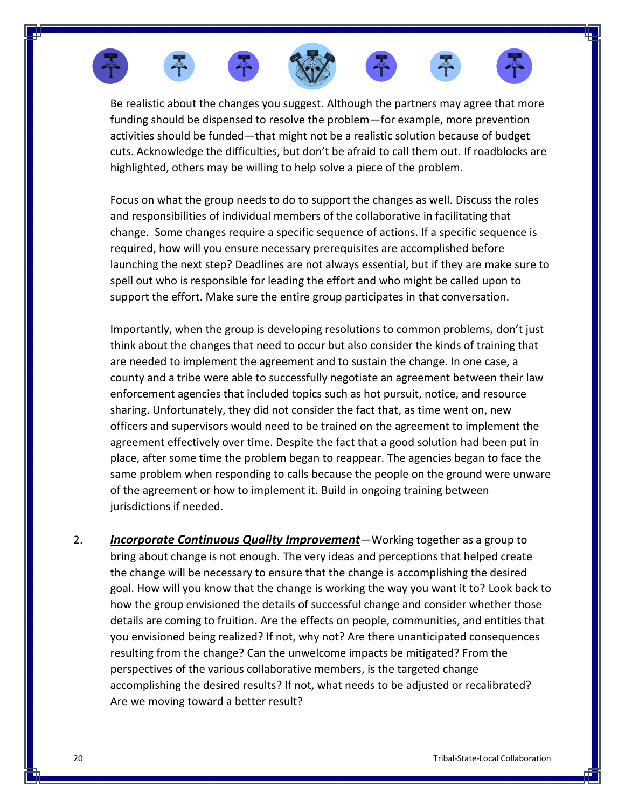











Be realistic about the changes you suggest. Although the partners may agree that more funding should be dispensed to resolve the problem—for example, more prevention activities should be funded—that might not be a realistic solution because of budget cuts. Acknowledge the difficulties, but don't be afraid to call them out. If roadblocks are highlighted, others may be willing to help solve a piece of the problem.

Focus on what the group needs to do to support the changes as well. Discuss the roles and responsibilities of individual members of the collaborative in facilitating that change. Some changes require a specific sequence of actions. If a specific sequence is required, how will you ensure necessary prerequisites are accomplished before launching the next step? Deadlines are not always essential, but if they are make sure to spell out who is responsible for leading the effort and who might be called upon to support the effort. Make sure the entire group participates in that conversation.

Importantly, when the group is developing resolutions to common problems, don't just think about the changes that need to occur but also consider the kinds of training that are needed to implement the agreement and to sustain the change. In one case, a county and a tribe were able to successfully negotiate an agreement between their law enforcement agencies that included topics such as hot pursuit, notice, and resource sharing. Unfortunately, they did not consider the fact that, as time went on, new officers and supervisors would need to be trained on the agreement to implement the agreement effectively over time. Despite the fact that a good solution had been put in place, after some time the problem began to reappear. The agencies began to face the same problem when responding to calls because the people on the ground were unware of the agreement or how to implement it. Build in ongoing training between jurisdictions if needed.

2. *Incorporate Continuous Quality Improvement*—Working together as a group to bring about change is not enough. The very ideas and perceptions that helped create the change will be necessary to ensure that the change is accomplishing the desired goal. How will you know that the change is working the way you want it to? Look back to how the group envisioned the details of successful change and consider whether those details are coming to fruition. Are the effects on people, communities, and entities that you envisioned being realized? If not, why not? Are there unanticipated consequences resulting from the change? Can the unwelcome impacts be mitigated? From the perspectives of the various collaborative members, is the targeted change accomplishing the desired results? If not, what needs to be adjusted or recalibrated? Are we moving toward a better result?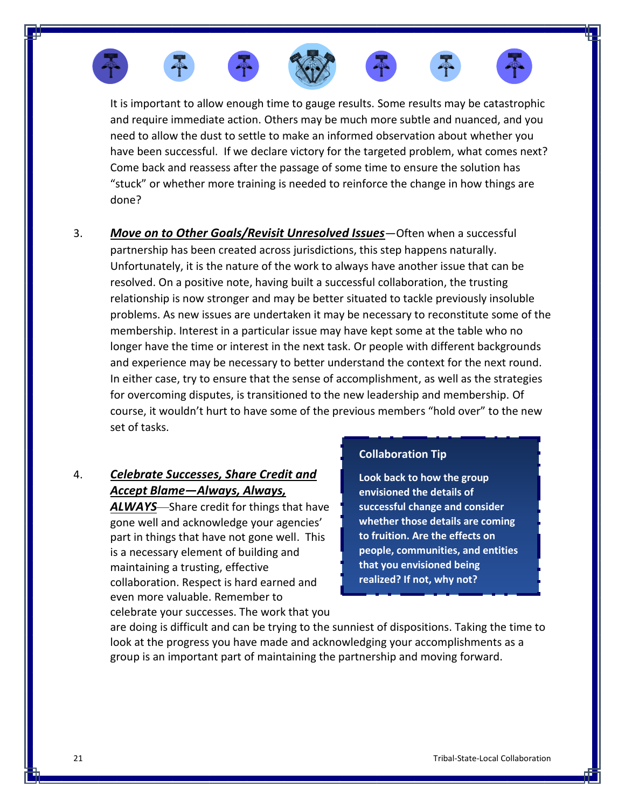











It is important to allow enough time to gauge results. Some results may be catastrophic and require immediate action. Others may be much more subtle and nuanced, and you need to allow the dust to settle to make an informed observation about whether you have been successful. If we declare victory for the targeted problem, what comes next? Come back and reassess after the passage of some time to ensure the solution has "stuck" or whether more training is needed to reinforce the change in how things are done?

3. *Move on to Other Goals/Revisit Unresolved Issues*—Often when a successful partnership has been created across jurisdictions, this step happens naturally. Unfortunately, it is the nature of the work to always have another issue that can be resolved. On a positive note, having built a successful collaboration, the trusting relationship is now stronger and may be better situated to tackle previously insoluble problems. As new issues are undertaken it may be necessary to reconstitute some of the membership. Interest in a particular issue may have kept some at the table who no longer have the time or interest in the next task. Or people with different backgrounds and experience may be necessary to better understand the context for the next round. In either case, try to ensure that the sense of accomplishment, as well as the strategies for overcoming disputes, is transitioned to the new leadership and membership. Of course, it wouldn't hurt to have some of the previous members "hold over" to the new set of tasks.

# 4. *Celebrate Successes, Share Credit and Accept Blame—Always, Always,*

*ALWAYS*—Share credit for things that have gone well and acknowledge your agencies' part in things that have not gone well. This is a necessary element of building and maintaining a trusting, effective collaboration. Respect is hard earned and even more valuable. Remember to celebrate your successes. The work that you

### **Collaboration Tip**

**Look back to how the group envisioned the details of successful change and consider whether those details are coming to fruition. Are the effects on people, communities, and entities that you envisioned being realized? If not, why not?**

are doing is difficult and can be trying to the sunniest of dispositions. Taking the time to look at the progress you have made and acknowledging your accomplishments as a group is an important part of maintaining the partnership and moving forward.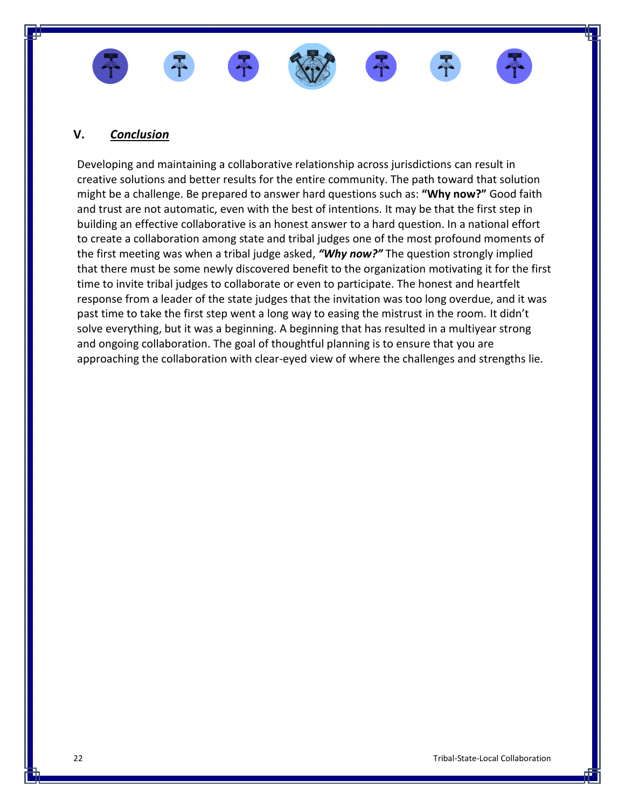

## **V.** *Conclusion*

Developing and maintaining a collaborative relationship across jurisdictions can result in creative solutions and better results for the entire community. The path toward that solution might be a challenge. Be prepared to answer hard questions such as: **"Why now?"** Good faith and trust are not automatic, even with the best of intentions. It may be that the first step in building an effective collaborative is an honest answer to a hard question. In a national effort to create a collaboration among state and tribal judges one of the most profound moments of the first meeting was when a tribal judge asked, *"Why now?"* The question strongly implied that there must be some newly discovered benefit to the organization motivating it for the first time to invite tribal judges to collaborate or even to participate. The honest and heartfelt response from a leader of the state judges that the invitation was too long overdue, and it was past time to take the first step went a long way to easing the mistrust in the room. It didn't solve everything, but it was a beginning. A beginning that has resulted in a multiyear strong and ongoing collaboration. The goal of thoughtful planning is to ensure that you are approaching the collaboration with clear-eyed view of where the challenges and strengths lie.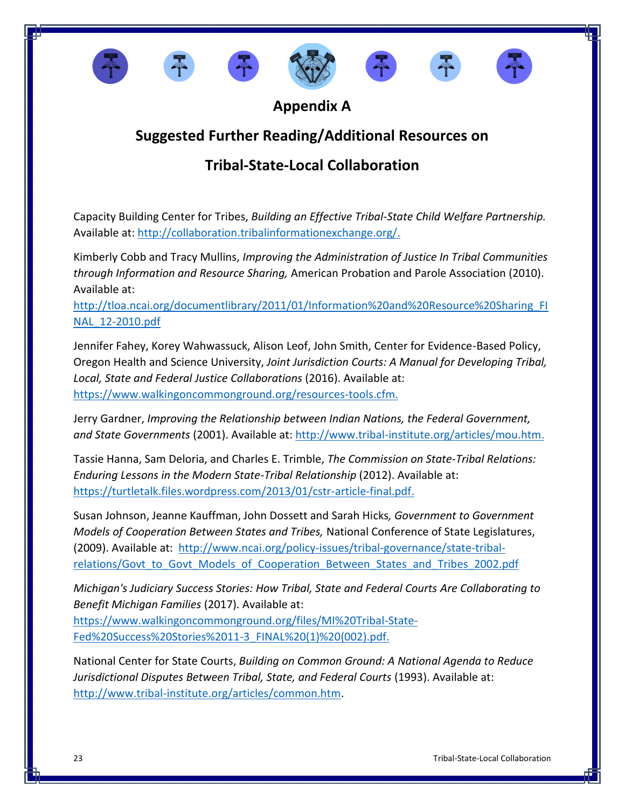









**Appendix A**

# **Suggested Further Reading/Additional Resources on**

# **Tribal-State-Local Collaboration**

Capacity Building Center for Tribes, *Building an Effective Tribal-State Child Welfare Partnership.* Available at: [http://collaboration.tribalinformationexchange.org/.](http://collaboration.tribalinformationexchange.org/)

Kimberly Cobb and Tracy Mullins, *Improving the Administration of Justice In Tribal Communities through Information and Resource Sharing,* American Probation and Parole Association (2010). Available at:

[http://tloa.ncai.org/documentlibrary/2011/01/Information%20and%20Resource%20Sharing\\_FI](http://tloa.ncai.org/documentlibrary/2011/01/Information%20and%20Resource%20Sharing_FINAL_12-2010.pdf) [NAL\\_12-2010.pdf](http://tloa.ncai.org/documentlibrary/2011/01/Information%20and%20Resource%20Sharing_FINAL_12-2010.pdf)

Jennifer Fahey, Korey Wahwassuck, Alison Leof, John Smith, Center for Evidence-Based Policy, Oregon Health and Science University, *Joint Jurisdiction Courts: A Manual for Developing Tribal, Local, State and Federal Justice Collaborations* (2016). Available at: [https://www.walkingoncommonground.org/resources-tools.cfm.](https://www.walkingoncommonground.org/resources-tools.cfm)

Jerry Gardner, *Improving the Relationship between Indian Nations, the Federal Government, and State Governments* (2001). Available at: [http://www.tribal-institute.org/articles/mou.htm.](http://www.tribal-institute.org/articles/mou.htm)

Tassie Hanna, Sam Deloria, and Charles E. Trimble, *The Commission on State-Tribal Relations: Enduring Lessons in the Modern State-Tribal Relationship* (2012). Available at: [https://turtletalk.files.wordpress.com/2013/01/cstr-article-final.pdf.](https://turtletalk.files.wordpress.com/2013/01/cstr-article-final.pdf)

Susan Johnson, Jeanne Kauffman, John Dossett and Sarah Hicks*, Government to Government Models of Cooperation Between States and Tribes,* National Conference of State Legislatures, (2009). Available at: [http://www.ncai.org/policy-issues/tribal-governance/state-tribal](http://www.ncai.org/policy-issues/tribal-governance/state-tribal-relations/Govt_to_Govt_Models_of_Cooperation_Between_States_and_Tribes_2002.pdf)relations/Govt to Govt Models of Cooperation Between States and Tribes 2002.pdf

*Michigan's Judiciary Success Stories: How Tribal, State and Federal Courts Are Collaborating to Benefit Michigan Families* (2017). Available at:

[https://www.walkingoncommonground.org/files/MI%20Tribal-State-](https://www.walkingoncommonground.org/files/MI%20Tribal-State-Fed%20Success%20Stories%2011-3_FINAL%20(1)%20(002).pdf)[Fed%20Success%20Stories%2011-3\\_FINAL%20\(1\)%20\(002\).pdf.](https://www.walkingoncommonground.org/files/MI%20Tribal-State-Fed%20Success%20Stories%2011-3_FINAL%20(1)%20(002).pdf)

National Center for State Courts, *Building on Common Ground: A National Agenda to Reduce Jurisdictional Disputes Between Tribal, State, and Federal Courts* (1993). Available at: [http://www.tribal-institute.org/articles/common.htm.](http://www.tribal-institute.org/articles/common.htm)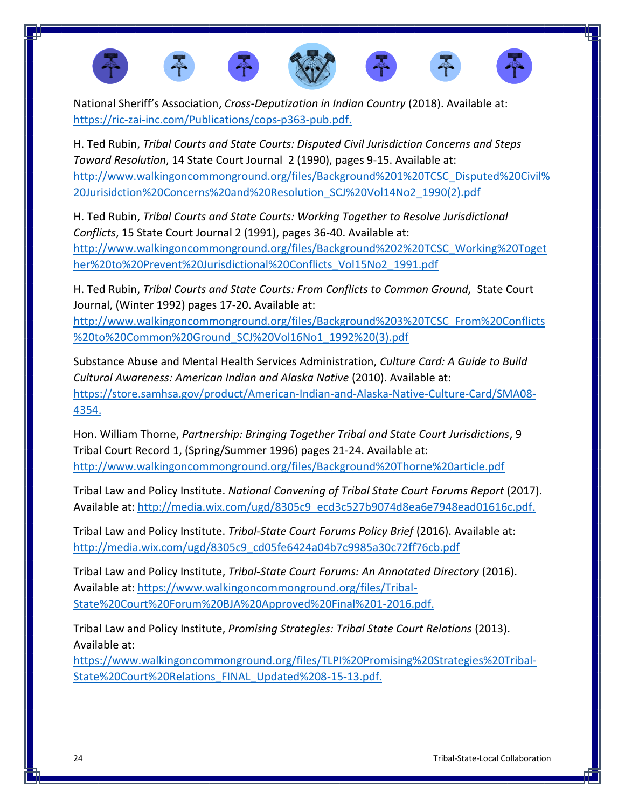

National Sheriff's Association, *Cross-Deputization in Indian Country* (2018). Available at: [https://ric-zai-inc.com/Publications/cops-p363-pub.pdf.](https://ric-zai-inc.com/Publications/cops-p363-pub.pdf)

H. Ted Rubin, *Tribal Courts and State Courts: Disputed Civil Jurisdiction Concerns and Steps Toward Resolution*, 14 State Court Journal 2 (1990), pages 9-15. Available at: [http://www.walkingoncommonground.org/files/Background%201%20TCSC\\_Disputed%20Civil%](http://www.walkingoncommonground.org/files/Background%201%20TCSC_Disputed%20Civil%20Jurisidction%20Concerns%20and%20Resolution_SCJ%20Vol14No2_1990(2).pdf) [20Jurisidction%20Concerns%20and%20Resolution\\_SCJ%20Vol14No2\\_1990\(2\).pdf](http://www.walkingoncommonground.org/files/Background%201%20TCSC_Disputed%20Civil%20Jurisidction%20Concerns%20and%20Resolution_SCJ%20Vol14No2_1990(2).pdf)

H. Ted Rubin, *Tribal Courts and State Courts: Working Together to Resolve Jurisdictional Conflicts*, 15 State Court Journal 2 (1991), pages 36-40. Available at: [http://www.walkingoncommonground.org/files/Background%202%20TCSC\\_Working%20Toget](http://www.walkingoncommonground.org/files/Background%202%20TCSC_Working%20Together%20to%20Prevent%20Jurisdictional%20Conflicts_Vol15No2_1991.pdf) [her%20to%20Prevent%20Jurisdictional%20Conflicts\\_Vol15No2\\_1991.pdf](http://www.walkingoncommonground.org/files/Background%202%20TCSC_Working%20Together%20to%20Prevent%20Jurisdictional%20Conflicts_Vol15No2_1991.pdf)

H. Ted Rubin, *Tribal Courts and State Courts: From Conflicts to Common Ground,* State Court Journal, (Winter 1992) pages 17-20. Available at:

[http://www.walkingoncommonground.org/files/Background%203%20TCSC\\_From%20Conflicts](http://www.walkingoncommonground.org/files/Background%203%20TCSC_From%20Conflicts%20to%20Common%20Ground_SCJ%20Vol16No1_1992%20(3).pdf) [%20to%20Common%20Ground\\_SCJ%20Vol16No1\\_1992%20\(3\).pdf](http://www.walkingoncommonground.org/files/Background%203%20TCSC_From%20Conflicts%20to%20Common%20Ground_SCJ%20Vol16No1_1992%20(3).pdf)

Substance Abuse and Mental Health Services Administration, *Culture Card: A Guide to Build Cultural Awareness: American Indian and Alaska Native* (2010). Available at: [https://store.samhsa.gov/product/American-Indian-and-Alaska-Native-Culture-Card/SMA08-](https://store.samhsa.gov/product/American-Indian-and-Alaska-Native-Culture-Card/SMA08-4354) [4354.](https://store.samhsa.gov/product/American-Indian-and-Alaska-Native-Culture-Card/SMA08-4354)

Hon. William Thorne, *Partnership: Bringing Together Tribal and State Court Jurisdictions*, 9 Tribal Court Record 1, (Spring/Summer 1996) pages 21-24. Available at: <http://www.walkingoncommonground.org/files/Background%20Thorne%20article.pdf>

Tribal Law and Policy Institute. *National Convening of Tribal State Court Forums Report* (2017). Available at: [http://media.wix.com/ugd/8305c9\\_ecd3c527b9074d8ea6e7948ead01616c.pdf.](http://media.wix.com/ugd/8305c9_ecd3c527b9074d8ea6e7948ead01616c.pdf)

Tribal Law and Policy Institute. *Tribal-State Court Forums Policy Brief* (2016). Available at: [http://media.wix.com/ugd/8305c9\\_cd05fe6424a04b7c9985a30c72ff76cb.pdf](http://media.wix.com/ugd/8305c9_cd05fe6424a04b7c9985a30c72ff76cb.pdf)

Tribal Law and Policy Institute, *Tribal-State Court Forums: An Annotated Directory* (2016). Available at: [https://www.walkingoncommonground.org/files/Tribal-](https://www.walkingoncommonground.org/files/Tribal-State%20Court%20Forum%20BJA%20Approved%20Final%201-2016.pdf)[State%20Court%20Forum%20BJA%20Approved%20Final%201-2016.pdf.](https://www.walkingoncommonground.org/files/Tribal-State%20Court%20Forum%20BJA%20Approved%20Final%201-2016.pdf)

Tribal Law and Policy Institute, *Promising Strategies: Tribal State Court Relations* (2013). Available at:

[https://www.walkingoncommonground.org/files/TLPI%20Promising%20Strategies%20Tribal-](https://www.walkingoncommonground.org/files/TLPI%20Promising%20Strategies%20Tribal-State%20Court%20Relations_FINAL_Updated%208-15-13.pdf)[State%20Court%20Relations\\_FINAL\\_Updated%208-15-13.pdf.](https://www.walkingoncommonground.org/files/TLPI%20Promising%20Strategies%20Tribal-State%20Court%20Relations_FINAL_Updated%208-15-13.pdf)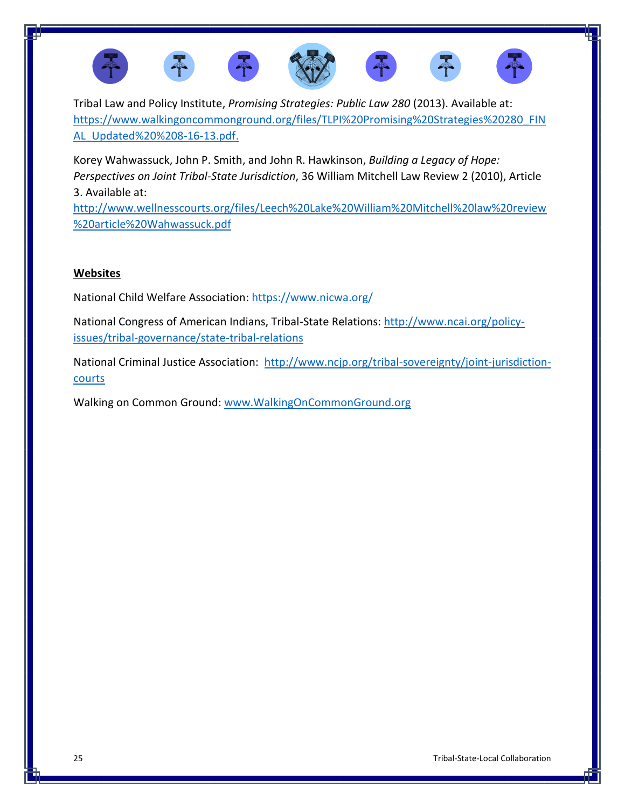

Tribal Law and Policy Institute, *Promising Strategies: Public Law 280* (2013). Available at: [https://www.walkingoncommonground.org/files/TLPI%20Promising%20Strategies%20280\\_FIN](https://www.walkingoncommonground.org/files/TLPI%20Promising%20Strategies%20280_FINAL_Updated%20%208-16-13.pdf) [AL\\_Updated%20%208-16-13.pdf.](https://www.walkingoncommonground.org/files/TLPI%20Promising%20Strategies%20280_FINAL_Updated%20%208-16-13.pdf)

Korey Wahwassuck, John P. Smith, and John R. Hawkinson, *Building a Legacy of Hope: Perspectives on Joint Tribal-State Jurisdiction*, 36 William Mitchell Law Review 2 (2010), Article 3. Available at:

[http://www.wellnesscourts.org/files/Leech%20Lake%20William%20Mitchell%20law%20review](http://www.wellnesscourts.org/files/Leech%20Lake%20William%20Mitchell%20law%20review%20article%20Wahwassuck.pdf) [%20article%20Wahwassuck.pdf](http://www.wellnesscourts.org/files/Leech%20Lake%20William%20Mitchell%20law%20review%20article%20Wahwassuck.pdf)

## **Websites**

National Child Welfare Association:<https://www.nicwa.org/>

National Congress of American Indians, Tribal-State Relations: [http://www.ncai.org/policy](http://www.ncai.org/policy-issues/tribal-governance/state-tribal-relations)[issues/tribal-governance/state-tribal-relations](http://www.ncai.org/policy-issues/tribal-governance/state-tribal-relations)

National Criminal Justice Association: [http://www.ncjp.org/tribal-sovereignty/joint-jurisdiction](http://www.ncjp.org/tribal-sovereignty/joint-jurisdiction-courts)[courts](http://www.ncjp.org/tribal-sovereignty/joint-jurisdiction-courts)

Walking on Common Ground: [www.WalkingOnCommonGround.org](http://www.walkingoncommonground.org/)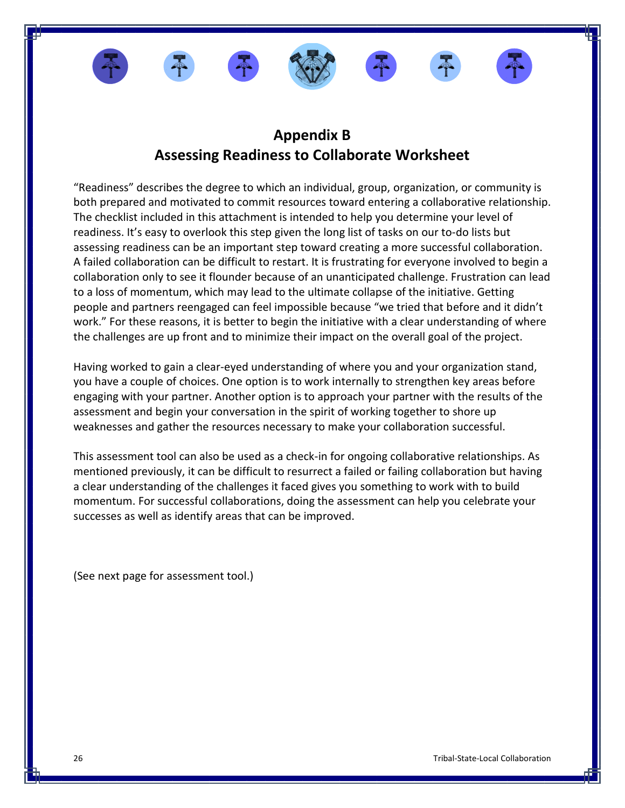









# **Appendix B Assessing Readiness to Collaborate Worksheet**

"Readiness" describes the degree to which an individual, group, organization, or community is both prepared and motivated to commit resources toward entering a collaborative relationship. The checklist included in this attachment is intended to help you determine your level of readiness. It's easy to overlook this step given the long list of tasks on our to-do lists but assessing readiness can be an important step toward creating a more successful collaboration. A failed collaboration can be difficult to restart. It is frustrating for everyone involved to begin a collaboration only to see it flounder because of an unanticipated challenge. Frustration can lead to a loss of momentum, which may lead to the ultimate collapse of the initiative. Getting people and partners reengaged can feel impossible because "we tried that before and it didn't work." For these reasons, it is better to begin the initiative with a clear understanding of where the challenges are up front and to minimize their impact on the overall goal of the project.

Having worked to gain a clear-eyed understanding of where you and your organization stand, you have a couple of choices. One option is to work internally to strengthen key areas before engaging with your partner. Another option is to approach your partner with the results of the assessment and begin your conversation in the spirit of working together to shore up weaknesses and gather the resources necessary to make your collaboration successful.

This assessment tool can also be used as a check-in for ongoing collaborative relationships. As mentioned previously, it can be difficult to resurrect a failed or failing collaboration but having a clear understanding of the challenges it faced gives you something to work with to build momentum. For successful collaborations, doing the assessment can help you celebrate your successes as well as identify areas that can be improved.

(See next page for assessment tool.)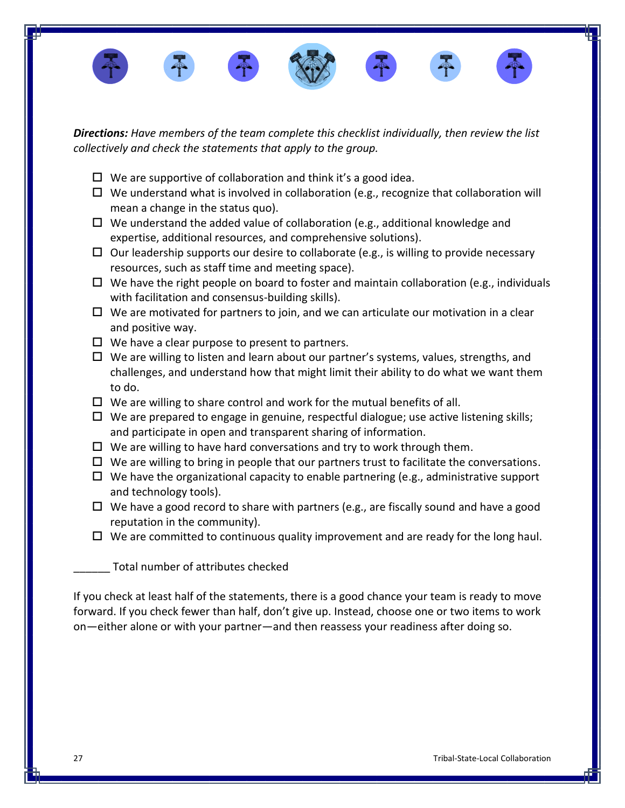

*Directions: Have members of the team complete this checklist individually, then review the list collectively and check the statements that apply to the group.*

- $\Box$  We are supportive of collaboration and think it's a good idea.
- $\Box$  We understand what is involved in collaboration (e.g., recognize that collaboration will mean a change in the status quo).
- $\Box$  We understand the added value of collaboration (e.g., additional knowledge and expertise, additional resources, and comprehensive solutions).
- $\Box$  Our leadership supports our desire to collaborate (e.g., is willing to provide necessary resources, such as staff time and meeting space).
- $\Box$  We have the right people on board to foster and maintain collaboration (e.g., individuals with facilitation and consensus-building skills).
- $\Box$  We are motivated for partners to join, and we can articulate our motivation in a clear and positive way.
- $\Box$  We have a clear purpose to present to partners.
- $\Box$  We are willing to listen and learn about our partner's systems, values, strengths, and challenges, and understand how that might limit their ability to do what we want them to do.
- $\Box$  We are willing to share control and work for the mutual benefits of all.
- $\Box$  We are prepared to engage in genuine, respectful dialogue; use active listening skills; and participate in open and transparent sharing of information.
- $\Box$  We are willing to have hard conversations and try to work through them.
- $\Box$  We are willing to bring in people that our partners trust to facilitate the conversations.
- $\Box$  We have the organizational capacity to enable partnering (e.g., administrative support and technology tools).
- $\Box$  We have a good record to share with partners (e.g., are fiscally sound and have a good reputation in the community).
- $\Box$  We are committed to continuous quality improvement and are ready for the long haul.

Total number of attributes checked

If you check at least half of the statements, there is a good chance your team is ready to move forward. If you check fewer than half, don't give up. Instead, choose one or two items to work on—either alone or with your partner—and then reassess your readiness after doing so.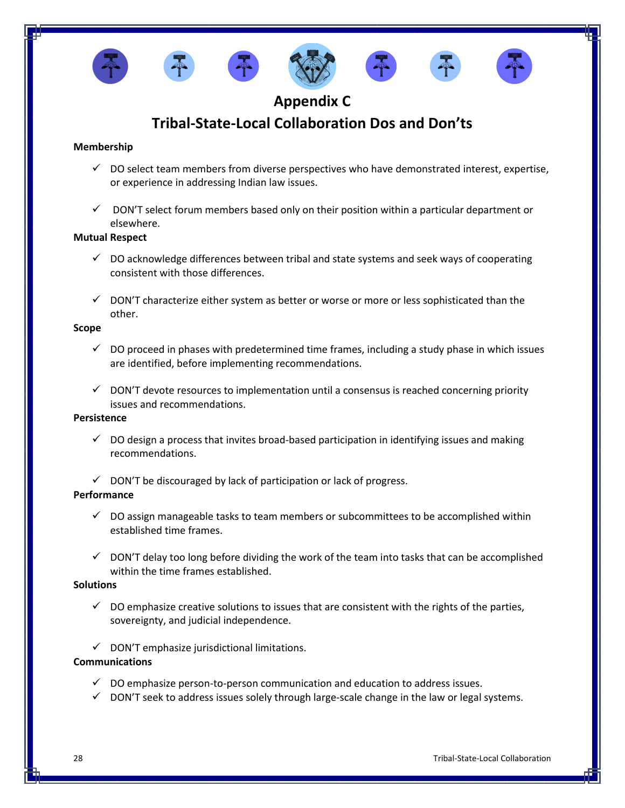









# **Appendix C**

# **Tribal-State-Local Collaboration Dos and Don'ts**

### **Membership**

- $\checkmark$  DO select team members from diverse perspectives who have demonstrated interest, expertise, or experience in addressing Indian law issues.
- $\checkmark$  DON'T select forum members based only on their position within a particular department or elsewhere.

#### **Mutual Respect**

- $\checkmark$  DO acknowledge differences between tribal and state systems and seek ways of cooperating consistent with those differences.
- $\checkmark$  DON'T characterize either system as better or worse or more or less sophisticated than the other.

#### **Scope**

- $\checkmark$  DO proceed in phases with predetermined time frames, including a study phase in which issues are identified, before implementing recommendations.
- $\checkmark$  DON'T devote resources to implementation until a consensus is reached concerning priority issues and recommendations.

#### **Persistence**

- $\checkmark$  DO design a process that invites broad-based participation in identifying issues and making recommendations.
- $\checkmark$  DON'T be discouraged by lack of participation or lack of progress.

### **Performance**

- $\checkmark$  DO assign manageable tasks to team members or subcommittees to be accomplished within established time frames.
- $\checkmark$  DON'T delay too long before dividing the work of the team into tasks that can be accomplished within the time frames established.

#### **Solutions**

- $\checkmark$  DO emphasize creative solutions to issues that are consistent with the rights of the parties, sovereignty, and judicial independence.
- $\checkmark$  DON'T emphasize jurisdictional limitations.

### **Communications**

- ✓ DO emphasize person‐to‐person communication and education to address issues.
- $\checkmark$  DON'T seek to address issues solely through large-scale change in the law or legal systems.